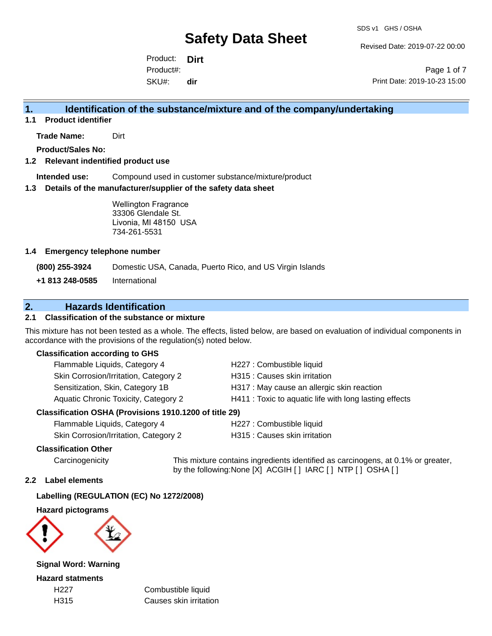Revised Date: 2019-07-22 00:00

Product: **Dirt** SKU#: Product#: **dir**

Page 1 of 7 Print Date: 2019-10-23 15:00

# **1. Identification of the substance/mixture and of the company/undertaking**

**1.1 Product identifier**

**Trade Name:** Dirt

**Product/Sales No:**

## **1.2 Relevant indentified product use**

**Intended use:** Compound used in customer substance/mixture/product

## **1.3 Details of the manufacturer/supplier of the safety data sheet**

Wellington Fragrance 33306 Glendale St. Livonia, MI 48150 USA 734-261-5531

## **1.4 Emergency telephone number**

**(800) 255-3924** Domestic USA, Canada, Puerto Rico, and US Virgin Islands

**+1 813 248-0585** International

# **2. Hazards Identification**

# **2.1 Classification of the substance or mixture**

This mixture has not been tested as a whole. The effects, listed below, are based on evaluation of individual components in accordance with the provisions of the regulation(s) noted below.

## **Classification according to GHS**

| Flammable Liquids, Category 4                       | H227 : Combustible liquid                              |
|-----------------------------------------------------|--------------------------------------------------------|
| Skin Corrosion/Irritation, Category 2               | H315 : Causes skin irritation                          |
| Sensitization, Skin, Category 1B                    | H317 : May cause an allergic skin reaction             |
| Aquatic Chronic Toxicity, Category 2                | H411 : Toxic to aquatic life with long lasting effects |
| ssification OSHA (Provisions 1910.1200 of title 29) |                                                        |

## **Classification OSHA (Provisions 1910.1200 of title 29)**

Flammable Liquids, Category 4 H227 : Combustible liquid Skin Corrosion/Irritation, Category 2 H315 : Causes skin irritation

# **Classification Other**

Carcinogenicity This mixture contains ingredients identified as carcinogens, at 0.1% or greater, by the following:None [X] ACGIH [ ] IARC [ ] NTP [ ] OSHA [ ]

## **2.2 Label elements**

# **Labelling (REGULATION (EC) No 1272/2008)**

**Hazard pictograms**



**Signal Word: Warning**

**Hazard statments**

H227 Combustible liquid H315 Causes skin irritation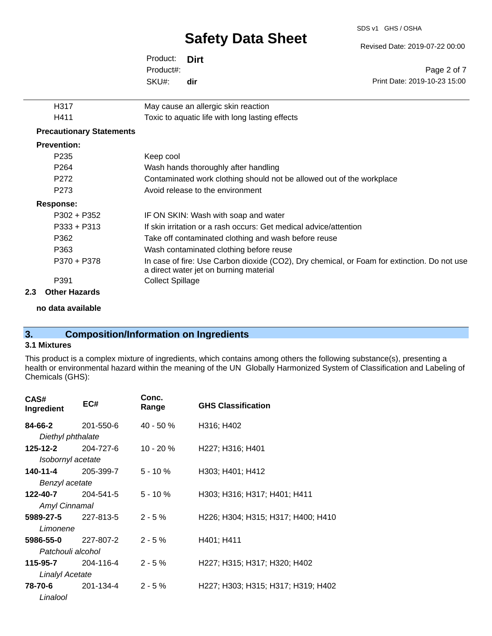SDS v1 GHS / OSHA

Revised Date: 2019-07-22 00:00

|                                 |           |                                                                       | Revised Date: 2019-07-22 00:00 |
|---------------------------------|-----------|-----------------------------------------------------------------------|--------------------------------|
|                                 | Product:  | <b>Dirt</b>                                                           |                                |
|                                 | Product#: |                                                                       | Page 2 of 7                    |
|                                 | SKU#:     | dir                                                                   | Print Date: 2019-10-23 15:00   |
| H317                            |           | May cause an allergic skin reaction                                   |                                |
| H411                            |           | Toxic to aquatic life with long lasting effects                       |                                |
| <b>Precautionary Statements</b> |           |                                                                       |                                |
| <b>Prevention:</b>              |           |                                                                       |                                |
| P <sub>235</sub>                | Keep cool |                                                                       |                                |
| P <sub>264</sub>                |           | Wash hands thoroughly after handling                                  |                                |
| P272                            |           | Contaminated work clothing should not be allowed out of the workplace |                                |
| P273                            |           | Avoid release to the environment                                      |                                |
| Response:                       |           |                                                                       |                                |
| $P302 + P352$                   |           | IF ON SKIN: Wash with soap and water                                  |                                |
| <b>BAAA BAJA</b>                |           |                                                                       |                                |

# P333 + P313 If skin irritation or a rash occurs: Get medical advice/attention P362 Take off contaminated clothing and wash before reuse P363 Wash contaminated clothing before reuse P370 + P378 In case of fire: Use Carbon dioxide (CO2), Dry chemical, or Foam for extinction. Do not use a direct water jet on burning material P391 Collect Spillage

# **2.3 Other Hazards**

**no data available**

# **3. Composition/Information on Ingredients**

# **3.1 Mixtures**

This product is a complex mixture of ingredients, which contains among others the following substance(s), presenting a health or environmental hazard within the meaning of the UN Globally Harmonized System of Classification and Labeling of Chemicals (GHS):

| CAS#<br>Ingredient         | EC#       | Conc.<br>Range | <b>GHS Classification</b>                              |
|----------------------------|-----------|----------------|--------------------------------------------------------|
| 84-66-2                    | 201-550-6 | $40 - 50 \%$   | H316; H402                                             |
| Diethyl phthalate          |           |                |                                                        |
| 125-12-2                   | 204-727-6 | $10 - 20%$     | H <sub>227</sub> ; H <sub>316</sub> ; H <sub>401</sub> |
| Isobornyl acetate          |           |                |                                                        |
| 140-11-4                   | 205-399-7 | $5 - 10 \%$    | H303; H401; H412                                       |
| Benzyl acetate             |           |                |                                                        |
| 122-40-7                   | 204-541-5 | $5 - 10 \%$    | H303; H316; H317; H401; H411                           |
| Amyl Cinnamal              |           |                |                                                        |
| <b>5989-27-5</b> 227-813-5 |           | $2 - 5%$       | H226; H304; H315; H317; H400; H410                     |
| Limonene                   |           |                |                                                        |
| 5986-55-0                  | 227-807-2 | $2 - 5%$       | H401; H411                                             |
| Patchouli alcohol          |           |                |                                                        |
| 115-95-7                   | 204-116-4 | $2 - 5%$       | H227; H315; H317; H320; H402                           |
| <b>Linalyl Acetate</b>     |           |                |                                                        |
| 78-70-6                    | 201-134-4 | $2 - 5%$       | H227; H303; H315; H317; H319; H402                     |
| Linalool                   |           |                |                                                        |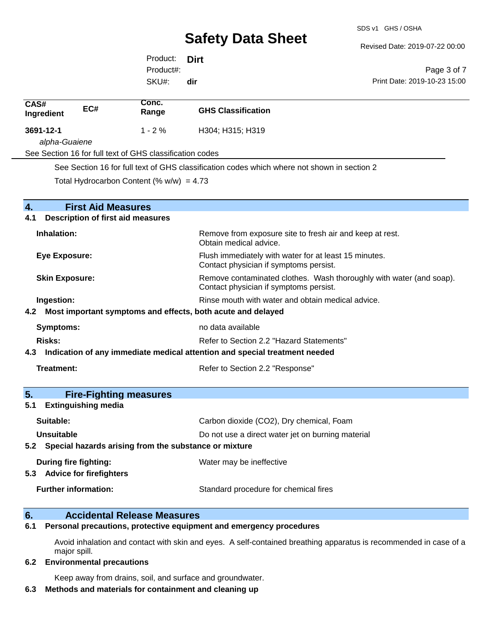SDS v1 GHS / OSHA

Revised Date: 2019-07-22 00:00

Print Date: 2019-10-23 15:00

Page 3 of 7

Product: **Dirt** SKU#: Product#: **dir**

| CAS#<br>Ingredient | EC#                                                             | Conc.<br>Range                                            | <b>GHS Classification</b>                                                                                     |  |
|--------------------|-----------------------------------------------------------------|-----------------------------------------------------------|---------------------------------------------------------------------------------------------------------------|--|
| 3691-12-1          |                                                                 | $1 - 2%$                                                  | H304; H315; H319                                                                                              |  |
|                    | alpha-Guaiene                                                   |                                                           |                                                                                                               |  |
|                    |                                                                 | See Section 16 for full text of GHS classification codes  |                                                                                                               |  |
|                    |                                                                 |                                                           | See Section 16 for full text of GHS classification codes which where not shown in section 2                   |  |
|                    |                                                                 | Total Hydrocarbon Content (% $w/w$ ) = 4.73               |                                                                                                               |  |
| $\boldsymbol{4}$ . | <b>First Aid Measures</b>                                       |                                                           |                                                                                                               |  |
| 4.1                | <b>Description of first aid measures</b>                        |                                                           |                                                                                                               |  |
|                    | Inhalation:                                                     |                                                           | Remove from exposure site to fresh air and keep at rest.<br>Obtain medical advice.                            |  |
|                    | <b>Eye Exposure:</b>                                            |                                                           | Flush immediately with water for at least 15 minutes.<br>Contact physician if symptoms persist.               |  |
|                    | <b>Skin Exposure:</b>                                           |                                                           | Remove contaminated clothes. Wash thoroughly with water (and soap).<br>Contact physician if symptoms persist. |  |
|                    | Ingestion:<br>Rinse mouth with water and obtain medical advice. |                                                           |                                                                                                               |  |
| 4.2                | Most important symptoms and effects, both acute and delayed     |                                                           |                                                                                                               |  |
|                    | <b>Symptoms:</b>                                                |                                                           | no data available                                                                                             |  |
|                    | Risks:<br>Refer to Section 2.2 "Hazard Statements"              |                                                           |                                                                                                               |  |
| 4.3                |                                                                 |                                                           | Indication of any immediate medical attention and special treatment needed                                    |  |
|                    | Treatment:                                                      |                                                           | Refer to Section 2.2 "Response"                                                                               |  |
| 5.                 | <b>Fire-Fighting measures</b>                                   |                                                           |                                                                                                               |  |
| 5.1                | <b>Extinguishing media</b>                                      |                                                           |                                                                                                               |  |
|                    | Suitable:                                                       |                                                           | Carbon dioxide (CO2), Dry chemical, Foam                                                                      |  |
|                    | <b>Unsuitable</b>                                               |                                                           | Do not use a direct water jet on burning material                                                             |  |
|                    |                                                                 | 5.2 Special hazards arising from the substance or mixture |                                                                                                               |  |
|                    | During fire fighting:<br>5.3 Advice for firefighters            |                                                           | Water may be ineffective                                                                                      |  |
|                    | <b>Further information:</b>                                     |                                                           | Standard procedure for chemical fires                                                                         |  |

# **6. Accidental Release Measures**

**6.1 Personal precautions, protective equipment and emergency procedures**

Avoid inhalation and contact with skin and eyes. A self-contained breathing apparatus is recommended in case of a major spill.

## **6.2 Environmental precautions**

Keep away from drains, soil, and surface and groundwater.

## **6.3 Methods and materials for containment and cleaning up**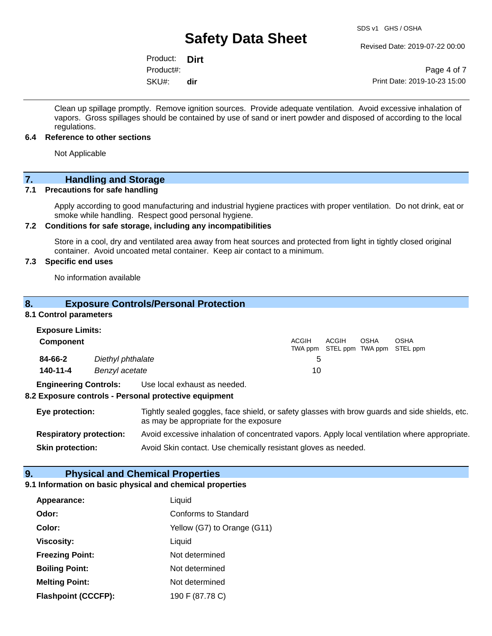Revised Date: 2019-07-22 00:00

Product: **Dirt** SKU#: Product#: **dir**

Page 4 of 7 Print Date: 2019-10-23 15:00

Clean up spillage promptly. Remove ignition sources. Provide adequate ventilation. Avoid excessive inhalation of vapors. Gross spillages should be contained by use of sand or inert powder and disposed of according to the local regulations.

## **6.4 Reference to other sections**

Not Applicable

# **7. Handling and Storage**

## **7.1 Precautions for safe handling**

Apply according to good manufacturing and industrial hygiene practices with proper ventilation. Do not drink, eat or smoke while handling. Respect good personal hygiene.

## **7.2 Conditions for safe storage, including any incompatibilities**

Store in a cool, dry and ventilated area away from heat sources and protected from light in tightly closed original container. Avoid uncoated metal container. Keep air contact to a minimum.

# **7.3 Specific end uses**

No information available

# **8. Exposure Controls/Personal Protection**

## **8.1 Control parameters**

| <b>Exposure Limits:</b>      |                   |                                                                                       |       |                                   |             |                         |  |
|------------------------------|-------------------|---------------------------------------------------------------------------------------|-------|-----------------------------------|-------------|-------------------------|--|
| <b>Component</b>             |                   |                                                                                       | ACGIH | ACGIH<br>TWA ppm STEL ppm TWA ppm | <b>OSHA</b> | <b>OSHA</b><br>STEL ppm |  |
| 84-66-2                      | Diethyl phthalate |                                                                                       | 5     |                                   |             |                         |  |
| 140-11-4                     | Benzyl acetate    |                                                                                       | 10    |                                   |             |                         |  |
| <b>Engineering Controls:</b> |                   | Use local exhaust as needed.<br>8.2 Exposure controls - Personal protective equipment |       |                                   |             |                         |  |
| Eve protection:              |                   | Tightly sealed gongles, face shield, or safety glasses with brow quards and side shie |       |                                   |             |                         |  |

| Eye protection:                | Tightly sealed goggles, face shield, or safety glasses with brow guards and side shields, etc.<br>as may be appropriate for the exposure |
|--------------------------------|------------------------------------------------------------------------------------------------------------------------------------------|
| <b>Respiratory protection:</b> | Avoid excessive inhalation of concentrated vapors. Apply local ventilation where appropriate.                                            |
| <b>Skin protection:</b>        | Avoid Skin contact. Use chemically resistant gloves as needed.                                                                           |

# **9. Physical and Chemical Properties**

# **9.1 Information on basic physical and chemical properties**

| Appearance:                | Liquid                      |
|----------------------------|-----------------------------|
| Odor:                      | Conforms to Standard        |
| Color:                     | Yellow (G7) to Orange (G11) |
| <b>Viscosity:</b>          | Liquid                      |
| <b>Freezing Point:</b>     | Not determined              |
| <b>Boiling Point:</b>      | Not determined              |
| <b>Melting Point:</b>      | Not determined              |
| <b>Flashpoint (CCCFP):</b> | 190 F (87.78 C)             |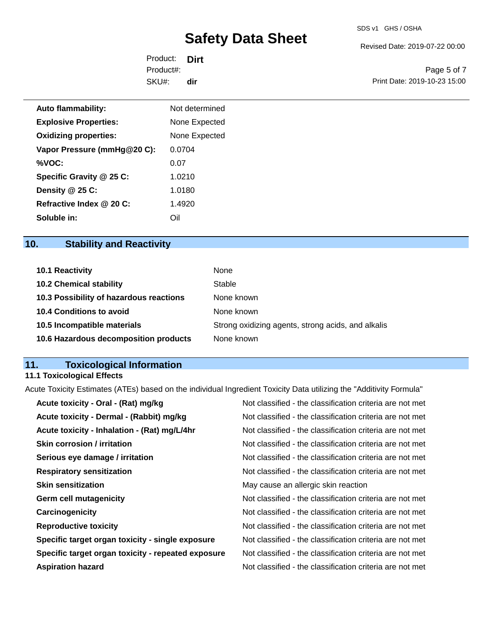Revised Date: 2019-07-22 00:00

Product: **Dirt** SKU#: Product#: **dir**

Page 5 of 7 Print Date: 2019-10-23 15:00

| <b>Auto flammability:</b>    | Not determined |  |
|------------------------------|----------------|--|
| <b>Explosive Properties:</b> | None Expected  |  |
| <b>Oxidizing properties:</b> | None Expected  |  |
| Vapor Pressure (mmHg@20 C):  | 0.0704         |  |
| %VOC:                        | 0.07           |  |
| Specific Gravity @ 25 C:     | 1.0210         |  |
| Density @ 25 C:              | 1.0180         |  |
| Refractive Index @ 20 C:     | 1.4920         |  |
| Soluble in:                  | Oil            |  |

# **10. Stability and Reactivity**

| <b>10.1 Reactivity</b>                  | None                                               |
|-----------------------------------------|----------------------------------------------------|
| <b>10.2 Chemical stability</b>          | Stable                                             |
| 10.3 Possibility of hazardous reactions | None known                                         |
| <b>10.4 Conditions to avoid</b>         | None known                                         |
| 10.5 Incompatible materials             | Strong oxidizing agents, strong acids, and alkalis |
| 10.6 Hazardous decomposition products   | None known                                         |

# **11. Toxicological Information**

# **11.1 Toxicological Effects**

Acute Toxicity Estimates (ATEs) based on the individual Ingredient Toxicity Data utilizing the "Additivity Formula"

| Acute toxicity - Dermal - (Rabbit) mg/kg<br>Not classified - the classification criteria are not met<br>Acute toxicity - Inhalation - (Rat) mg/L/4hr<br>Not classified - the classification criteria are not met<br><b>Skin corrosion / irritation</b><br>Not classified - the classification criteria are not met |
|--------------------------------------------------------------------------------------------------------------------------------------------------------------------------------------------------------------------------------------------------------------------------------------------------------------------|
|                                                                                                                                                                                                                                                                                                                    |
|                                                                                                                                                                                                                                                                                                                    |
|                                                                                                                                                                                                                                                                                                                    |
| Not classified - the classification criteria are not met<br>Serious eye damage / irritation                                                                                                                                                                                                                        |
| Not classified - the classification criteria are not met<br><b>Respiratory sensitization</b>                                                                                                                                                                                                                       |
| <b>Skin sensitization</b><br>May cause an allergic skin reaction                                                                                                                                                                                                                                                   |
| <b>Germ cell mutagenicity</b><br>Not classified - the classification criteria are not met                                                                                                                                                                                                                          |
| Not classified - the classification criteria are not met<br>Carcinogenicity                                                                                                                                                                                                                                        |
| <b>Reproductive toxicity</b><br>Not classified - the classification criteria are not met                                                                                                                                                                                                                           |
| Not classified - the classification criteria are not met<br>Specific target organ toxicity - single exposure                                                                                                                                                                                                       |
| Not classified - the classification criteria are not met<br>Specific target organ toxicity - repeated exposure                                                                                                                                                                                                     |
| Not classified - the classification criteria are not met<br><b>Aspiration hazard</b>                                                                                                                                                                                                                               |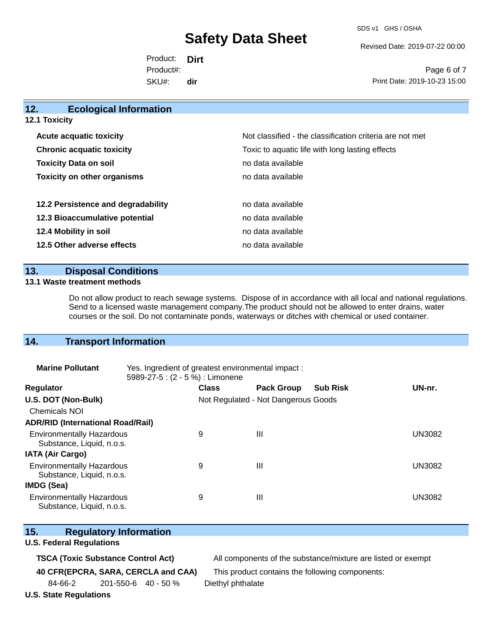SDS v1 GHS / OSHA

Revised Date: 2019-07-22 00:00

Product: **Dirt** SKU#: Product#: **dir**

Page 6 of 7 Print Date: 2019-10-23 15:00

| 12.<br><b>Ecological Information</b> |                                                          |
|--------------------------------------|----------------------------------------------------------|
| <b>12.1 Toxicity</b>                 |                                                          |
| <b>Acute acquatic toxicity</b>       | Not classified - the classification criteria are not met |
| <b>Chronic acquatic toxicity</b>     | Toxic to aquatic life with long lasting effects          |
| <b>Toxicity Data on soil</b>         | no data available                                        |
| <b>Toxicity on other organisms</b>   | no data available                                        |
| 12.2 Persistence and degradability   | no data available                                        |
| 12.3 Bioaccumulative potential       | no data available                                        |
| 12.4 Mobility in soil                | no data available                                        |
| 12.5 Other adverse effects           | no data available                                        |
|                                      |                                                          |

# **13. Disposal Conditions**

## **13.1 Waste treatment methods**

Do not allow product to reach sewage systems. Dispose of in accordance with all local and national regulations. Send to a licensed waste management company.The product should not be allowed to enter drains, water courses or the soil. Do not contaminate ponds, waterways or ditches with chemical or used container.

# **14. Transport Information**

| <b>Marine Pollutant</b>                                       | Yes. Ingredient of greatest environmental impact:<br>5989-27-5 : (2 - 5 %) : Limonene |                                     |                   |                 |               |
|---------------------------------------------------------------|---------------------------------------------------------------------------------------|-------------------------------------|-------------------|-----------------|---------------|
| <b>Regulator</b>                                              |                                                                                       | <b>Class</b>                        | <b>Pack Group</b> | <b>Sub Risk</b> | UN-nr.        |
| U.S. DOT (Non-Bulk)                                           |                                                                                       | Not Regulated - Not Dangerous Goods |                   |                 |               |
| <b>Chemicals NOI</b>                                          |                                                                                       |                                     |                   |                 |               |
| <b>ADR/RID (International Road/Rail)</b>                      |                                                                                       |                                     |                   |                 |               |
| <b>Environmentally Hazardous</b><br>Substance, Liquid, n.o.s. |                                                                                       | 9                                   | Ш                 |                 | <b>UN3082</b> |
| <b>IATA (Air Cargo)</b>                                       |                                                                                       |                                     |                   |                 |               |
| <b>Environmentally Hazardous</b><br>Substance, Liquid, n.o.s. |                                                                                       | 9                                   | Ш                 |                 | <b>UN3082</b> |
| <b>IMDG (Sea)</b>                                             |                                                                                       |                                     |                   |                 |               |
| <b>Environmentally Hazardous</b><br>Substance, Liquid, n.o.s. |                                                                                       | 9                                   | Ш                 |                 | <b>UN3082</b> |

|  | 15. | <b>Regulatory Information</b> |
|--|-----|-------------------------------|
|--|-----|-------------------------------|

## **U.S. Federal Regulations**

**TSCA (Toxic Substance Control Act)** All components of the substance/mixture are listed or exempt

**40 CFR(EPCRA, SARA, CERCLA and CAA)** This product contains the following components:

84-66-2 201-550-6 40 - 50 % Diethyl phthalate

**U.S. State Regulations**